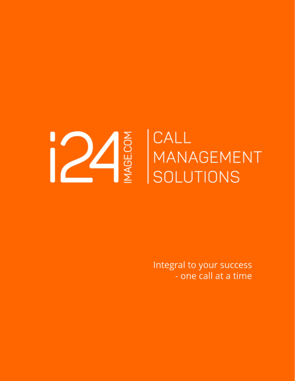

Integral to your success - one call at a time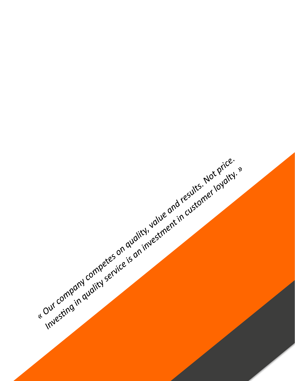investing in available the same that in customer lovely. Investing in availant service is on investment in customer lovatry. it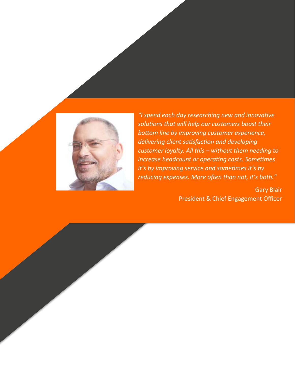

*"I spend each day researching new and innovative solutions that will help our customers boost their bottom line by improving customer experience, delivering client satisfaction and developing customer loyalty. All this – without them needing to increase headcount or operating costs. Sometimes it's by improving service and sometimes it's by reducing expenses. More often than not, it's both."*

> Gary Blair President & Chief Engagement Officer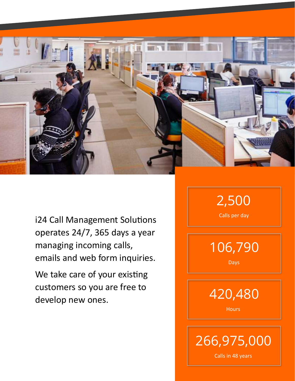

i24 Call Management Solutions operates 24/7, 365 days a year managing incoming calls, emails and web form inquiries.

We take care of your existing customers so you are free to develop new ones.

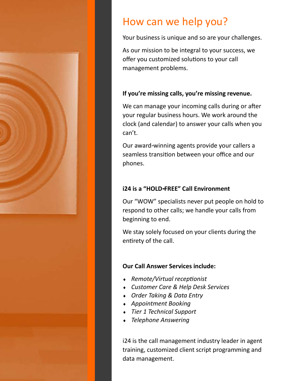

# How can we help you?

Your business is unique and so are your challenges.

As our mission to be integral to your success, we offer you customized solutions to your call management problems.

#### **If you're missing calls, you're missing revenue.**

We can manage your incoming calls during or after your regular business hours. We work around the clock (and calendar) to answer your calls when you can't.

Our award-winning agents provide your callers a seamless transition between your office and our phones.

#### **i24 is a "HOLD-FREE" Call Environment**

Our "WOW" specialists never put people on hold to respond to other calls; we handle your calls from beginning to end.

We stay solely focused on your clients during the entirety of the call.

#### **Our Call Answer Services include:**

- *Remote/Virtual receptionist*
- *Customer Care & Help Desk Services*
- *Order Taking & Data Entry*
- *Appointment Booking*
- *Tier 1 Technical Support*
- *Telephone Answering*

i24 is the call management industry leader in agent training, customized client script programming and data management.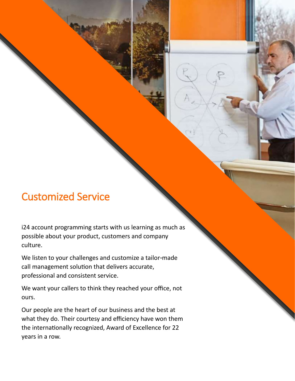## Customized Service

i24 account programming starts with us learning as much as possible about your product, customers and company culture.

We listen to your challenges and customize a tailor-made call management solution that delivers accurate, professional and consistent service.

We want your callers to think they reached your office, not ours.

Our people are the heart of our business and the best at what they do. Their courtesy and efficiency have won them the internationally recognized, Award of Excellence for 22 years in a row.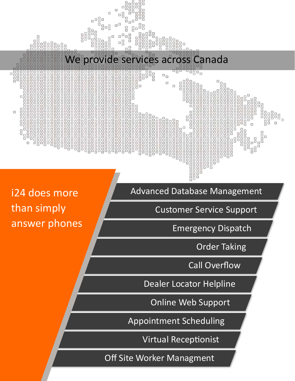

i24 does more than simply answer phones Advanced Database Management

Customer Service Support

Emergency Dispatch

Order Taking

Call Overflow

Dealer Locator Helpline

Online Web Support

Appointment Scheduling

Virtual Receptionist

Off Site Worker Managment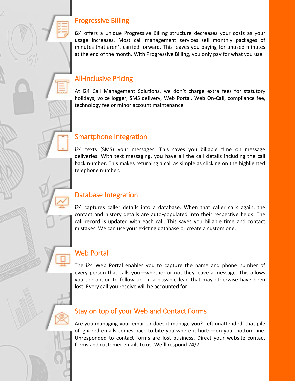#### Progressive Billing

i24 offers a unique Progressive Billing structure decreases your costs as your usage increases. Most call management services sell monthly packages of minutes that aren't carried forward. This leaves you paying for unused minutes at the end of the month. With Progressive Billing, you only pay for what you use.

#### All-Inclusive Pricing

At i24 Call Management Solutions, we don't charge extra fees for statutory holidays, voice logger, SMS delivery, Web Portal, Web On-Call, compliance fee, technology fee or minor account maintenance.

#### Smartphone Integration

i24 texts (SMS) your messages. This saves you billable time on message deliveries. With text messaging, you have all the call details including the call back number. This makes returning a call as simple as clicking on the highlighted telephone number.

#### Database Integration

i24 captures caller details into a database. When that caller calls again, the contact and history details are auto-populated into their respective fields. The call record is updated with each call. This saves you billable time and contact mistakes. We can use your existing database or create a custom one.

### Web Portal

The i24 Web Portal enables you to capture the name and phone number of every person that calls you—whether or not they leave a message. This allows you the option to follow up on a possible lead that may otherwise have been lost. Every call you receive will be accounted for.

#### Stay on top of your Web and Contact Forms

Are you managing your email or does it manage you? Left unattended, that pile of ignored emails comes back to bite you where it hurts—on your bottom line. Unresponded to contact forms are lost business. Direct your website contact forms and customer emails to us. We'll respond 24/7.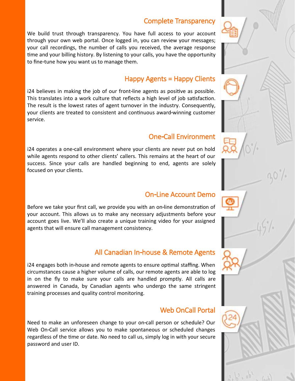#### Complete Transparency

We build trust through transparency. You have full access to your account through your own web portal. Once logged in, you can review your messages; your call recordings, the number of calls you received, the average response time and your billing history. By listening to your calls, you have the opportunity to fine-tune how you want us to manage them.

#### Happy Agents = Happy Clients

i24 believes in making the job of our front-line agents as positive as possible. This translates into a work culture that reflects a high level of job satisfaction. The result is the lowest rates of agent turnover in the industry. Consequently, your clients are treated to consistent and continuous award-winning customer service.

#### One-Call Environment

i24 operates a one-call environment where your clients are never put on hold while agents respond to other clients' callers. This remains at the heart of our success. Since your calls are handled beginning to end, agents are solely focused on your clients.

#### On-Line Account Demo

Before we take your first call, we provide you with an on-line demonstration of your account. This allows us to make any necessary adjustments before your account goes live. We'll also create a unique training video for your assigned agents that will ensure call management consistency.

#### All Canadian In-house & Remote Agents

i24 engages both in-house and remote agents to ensure optimal staffing. When circumstances cause a higher volume of calls, our remote agents are able to log in on the fly to make sure your calls are handled promptly. All calls are answered in Canada, by Canadian agents who undergo the same stringent training processes and quality control monitoring.

#### Web OnCall Portal

Need to make an unforeseen change to your on-call person or schedule? Our Web On-Call service allows you to make spontaneous or scheduled changes regardless of the time or date. No need to call us, simply log in with your secure password and user ID.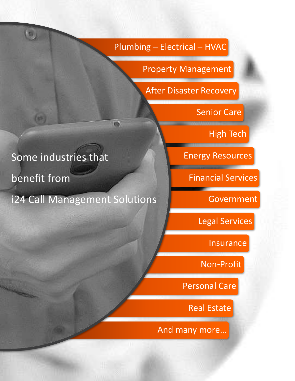Plumbing – Electrical – HVAC

Property Management

After Disaster Recovery

Senior Care

High Tech

Energy Resources

Financial Services

Government

Legal Services

Insurance

Non-Profit

Personal Care

Real Estate

And many more…

# Some industries that

Some industries that the some industries that the some industries that the some industries that the some in benefit from

聊

 $\ddot{o}$  from  $\ddot{o}$ i24 Call Management Solutions

冊

i24 Call Management Solutions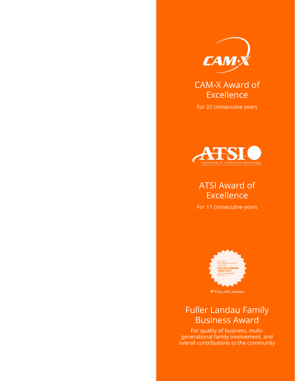

## CAM-X Award of Excellence

For 22 consecutive years



## ATSI Award of Excellence

For 11 consecutive years



### Fuller Landau Family Business Award

For quality of business, multigenerational family involvement, and overall contributions to the community